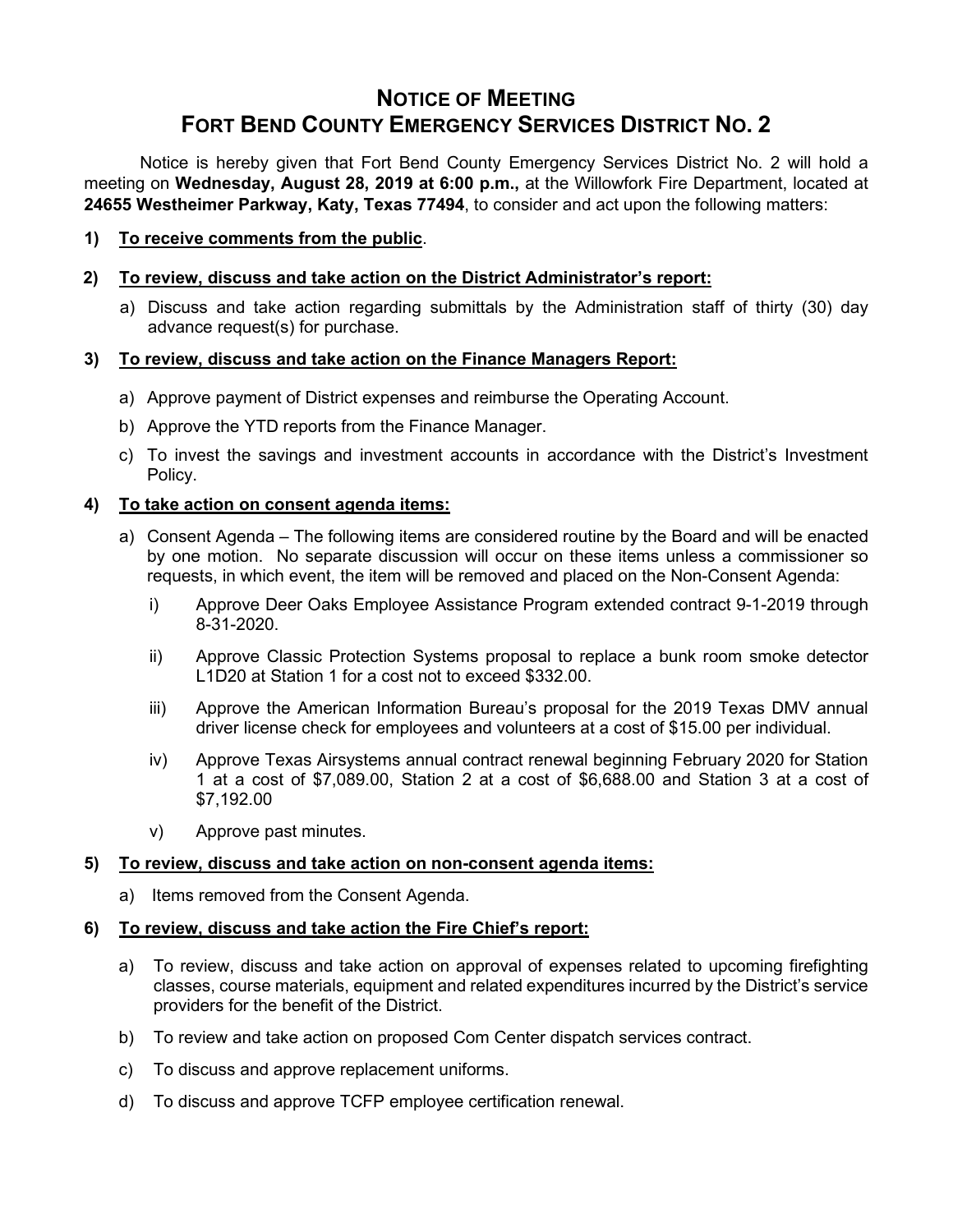# **NOTICE OF MEETING FORT BEND COUNTY EMERGENCY SERVICES DISTRICT NO. 2**

Notice is hereby given that Fort Bend County Emergency Services District No. 2 will hold a meeting on **Wednesday, August 28, 2019 at 6:00 p.m.,** at the Willowfork Fire Department, located at **24655 Westheimer Parkway, Katy, Texas 77494**, to consider and act upon the following matters:

**1) To receive comments from the public**.

#### **2) To review, discuss and take action on the District Administrator's report:**

a) Discuss and take action regarding submittals by the Administration staff of thirty (30) day advance request(s) for purchase.

#### **3) To review, discuss and take action on the Finance Managers Report:**

- a) Approve payment of District expenses and reimburse the Operating Account.
- b) Approve the YTD reports from the Finance Manager.
- c) To invest the savings and investment accounts in accordance with the District's Investment Policy.

#### **4) To take action on consent agenda items:**

- a) Consent Agenda The following items are considered routine by the Board and will be enacted by one motion. No separate discussion will occur on these items unless a commissioner so requests, in which event, the item will be removed and placed on the Non-Consent Agenda:
	- i) Approve Deer Oaks Employee Assistance Program extended contract 9-1-2019 through 8-31-2020.
	- ii) Approve Classic Protection Systems proposal to replace a bunk room smoke detector L1D20 at Station 1 for a cost not to exceed \$332.00.
	- iii) Approve the American Information Bureau's proposal for the 2019 Texas DMV annual driver license check for employees and volunteers at a cost of \$15.00 per individual.
	- iv) Approve Texas Airsystems annual contract renewal beginning February 2020 for Station 1 at a cost of \$7,089.00, Station 2 at a cost of \$6,688.00 and Station 3 at a cost of \$7,192.00
	- v) Approve past minutes.

## **5) To review, discuss and take action on non-consent agenda items:**

a) Items removed from the Consent Agenda.

#### **6) To review, discuss and take action the Fire Chief's report:**

- a) To review, discuss and take action on approval of expenses related to upcoming firefighting classes, course materials, equipment and related expenditures incurred by the District's service providers for the benefit of the District.
- b) To review and take action on proposed Com Center dispatch services contract.
- c) To discuss and approve replacement uniforms.
- d) To discuss and approve TCFP employee certification renewal.